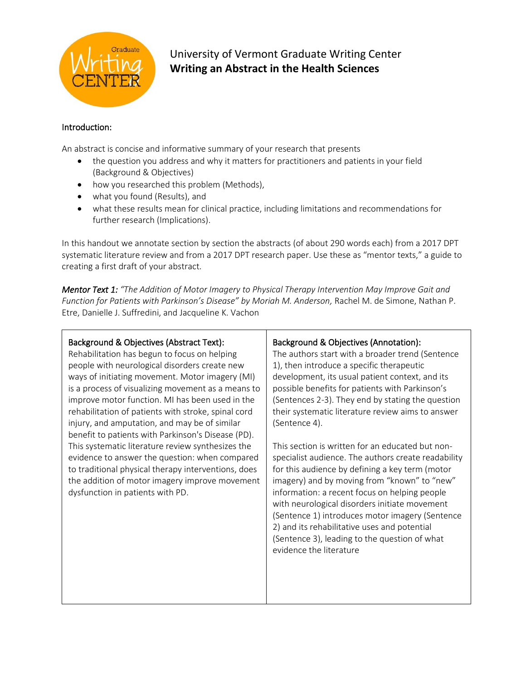

## University of Vermont Graduate Writing Center **Writing an Abstract in the Health Sciences**

## Introduction:

An abstract is concise and informative summary of your research that presents

- the question you address and why it matters for practitioners and patients in your field (Background & Objectives)
- how you researched this problem (Methods),
- what you found (Results), and
- what these results mean for clinical practice, including limitations and recommendations for further research (Implications).

In this handout we annotate section by section the abstracts (of about 290 words each) from a 2017 DPT systematic literature review and from a 2017 DPT research paper. Use these as "mentor texts," a guide to creating a first draft of your abstract.

*Mentor Text 1: "The Addition of Motor Imagery to Physical Therapy Intervention May Improve Gait and Function for Patients with Parkinson's Disease" by Moriah M. Anderson,* Rachel M. de Simone, Nathan P. Etre, Danielle J. Suffredini, and Jacqueline K. Vachon

## Background & Objectives (Abstract Text):

Rehabilitation has begun to focus on helping people with neurological disorders create new ways of initiating movement. Motor imagery (MI) is a process of visualizing movement as a means to improve motor function. MI has been used in the rehabilitation of patients with stroke, spinal cord injury, and amputation, and may be of similar benefit to patients with Parkinson's Disease (PD). This systematic literature review synthesizes the evidence to answer the question: when compared to traditional physical therapy interventions, does the addition of motor imagery improve movement dysfunction in patients with PD.

## Background & Objectives (Annotation):

The authors start with a broader trend (Sentence 1), then introduce a specific therapeutic development, its usual patient context, and its possible benefits for patients with Parkinson's (Sentences 2-3). They end by stating the question their systematic literature review aims to answer (Sentence 4).

This section is written for an educated but nonspecialist audience. The authors create readability for this audience by defining a key term (motor imagery) and by moving from "known" to "new" information: a recent focus on helping people with neurological disorders initiate movement (Sentence 1) introduces motor imagery (Sentence 2) and its rehabilitative uses and potential (Sentence 3), leading to the question of what evidence the literature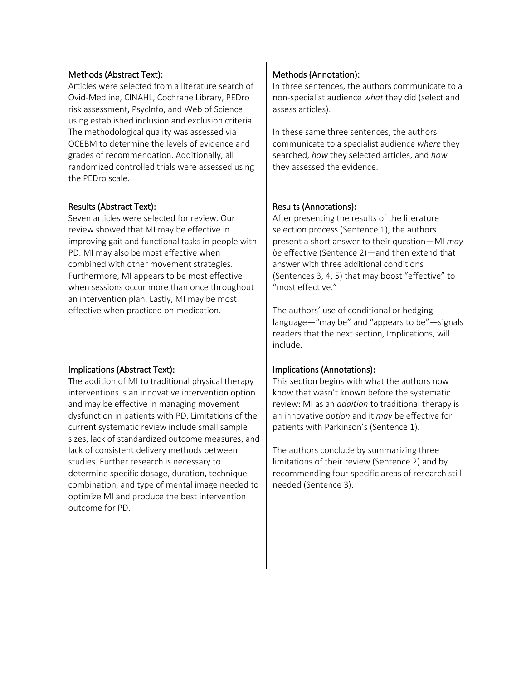| Methods (Abstract Text):<br>Articles were selected from a literature search of<br>Ovid-Medline, CINAHL, Cochrane Library, PEDro<br>risk assessment, PsycInfo, and Web of Science<br>using established inclusion and exclusion criteria.<br>The methodological quality was assessed via<br>OCEBM to determine the levels of evidence and<br>grades of recommendation. Additionally, all<br>randomized controlled trials were assessed using<br>the PEDro scale.                                                                                                                                                            | Methods (Annotation):<br>In three sentences, the authors communicate to a<br>non-specialist audience what they did (select and<br>assess articles).<br>In these same three sentences, the authors<br>communicate to a specialist audience where they<br>searched, how they selected articles, and how<br>they assessed the evidence.                                                                                                                                                                              |
|---------------------------------------------------------------------------------------------------------------------------------------------------------------------------------------------------------------------------------------------------------------------------------------------------------------------------------------------------------------------------------------------------------------------------------------------------------------------------------------------------------------------------------------------------------------------------------------------------------------------------|-------------------------------------------------------------------------------------------------------------------------------------------------------------------------------------------------------------------------------------------------------------------------------------------------------------------------------------------------------------------------------------------------------------------------------------------------------------------------------------------------------------------|
| Results (Abstract Text):<br>Seven articles were selected for review. Our<br>review showed that MI may be effective in<br>improving gait and functional tasks in people with<br>PD. MI may also be most effective when<br>combined with other movement strategies.<br>Furthermore, MI appears to be most effective<br>when sessions occur more than once throughout<br>an intervention plan. Lastly, MI may be most<br>effective when practiced on medication.                                                                                                                                                             | Results (Annotations):<br>After presenting the results of the literature<br>selection process (Sentence 1), the authors<br>present a short answer to their question-MI may<br>be effective (Sentence 2)—and then extend that<br>answer with three additional conditions<br>(Sentences 3, 4, 5) that may boost "effective" to<br>"most effective."<br>The authors' use of conditional or hedging<br>language-"may be" and "appears to be"-signals<br>readers that the next section, Implications, will<br>include. |
| Implications (Abstract Text):<br>The addition of MI to traditional physical therapy<br>interventions is an innovative intervention option<br>and may be effective in managing movement<br>dysfunction in patients with PD. Limitations of the<br>current systematic review include small sample<br>sizes, lack of standardized outcome measures, and<br>lack of consistent delivery methods between<br>studies. Further research is necessary to<br>determine specific dosage, duration, technique<br>combination, and type of mental image needed to<br>optimize MI and produce the best intervention<br>outcome for PD. | Implications (Annotations):<br>This section begins with what the authors now<br>know that wasn't known before the systematic<br>review: MI as an <i>addition</i> to traditional therapy is<br>an innovative option and it may be effective for<br>patients with Parkinson's (Sentence 1).<br>The authors conclude by summarizing three<br>limitations of their review (Sentence 2) and by<br>recommending four specific areas of research still<br>needed (Sentence 3).                                           |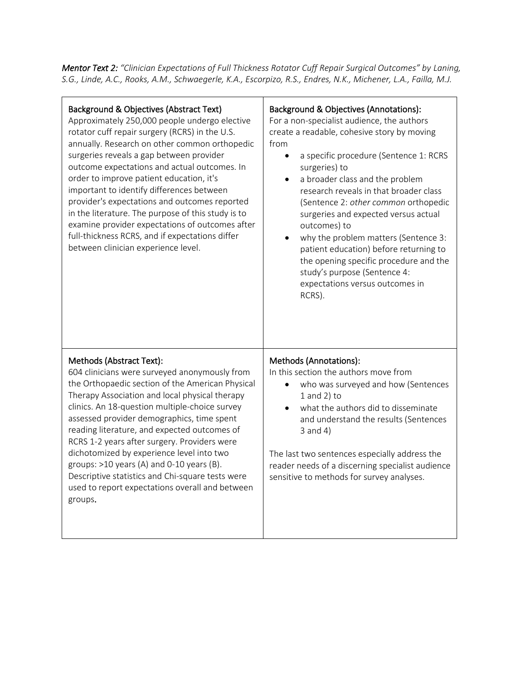*Mentor Text 2: "Clinician Expectations of Full Thickness Rotator Cuff Repair Surgical Outcomes" by Laning, S.G., Linde, A.C., Rooks, A.M., Schwaegerle, K.A., Escorpizo, R.S., Endres, N.K., Michener, L.A., Failla, M.J.*

| Background & Objectives (Abstract Text)<br>Approximately 250,000 people undergo elective<br>rotator cuff repair surgery (RCRS) in the U.S.<br>annually. Research on other common orthopedic<br>surgeries reveals a gap between provider<br>outcome expectations and actual outcomes. In<br>order to improve patient education, it's<br>important to identify differences between<br>provider's expectations and outcomes reported<br>in the literature. The purpose of this study is to<br>examine provider expectations of outcomes after<br>full-thickness RCRS, and if expectations differ<br>between clinician experience level. | Background & Objectives (Annotations):<br>For a non-specialist audience, the authors<br>create a readable, cohesive story by moving<br>from<br>a specific procedure (Sentence 1: RCRS<br>$\bullet$<br>surgeries) to<br>a broader class and the problem<br>$\bullet$<br>research reveals in that broader class<br>(Sentence 2: other common orthopedic<br>surgeries and expected versus actual<br>outcomes) to<br>why the problem matters (Sentence 3:<br>patient education) before returning to<br>the opening specific procedure and the<br>study's purpose (Sentence 4:<br>expectations versus outcomes in<br>RCRS). |
|--------------------------------------------------------------------------------------------------------------------------------------------------------------------------------------------------------------------------------------------------------------------------------------------------------------------------------------------------------------------------------------------------------------------------------------------------------------------------------------------------------------------------------------------------------------------------------------------------------------------------------------|------------------------------------------------------------------------------------------------------------------------------------------------------------------------------------------------------------------------------------------------------------------------------------------------------------------------------------------------------------------------------------------------------------------------------------------------------------------------------------------------------------------------------------------------------------------------------------------------------------------------|
| Methods (Abstract Text):<br>604 clinicians were surveyed anonymously from<br>the Orthopaedic section of the American Physical<br>Therapy Association and local physical therapy<br>clinics. An 18-question multiple-choice survey<br>assessed provider demographics, time spent<br>reading literature, and expected outcomes of<br>RCRS 1-2 years after surgery. Providers were<br>dichotomized by experience level into two<br>groups: $>10$ years (A) and 0-10 years (B).<br>Descriptive statistics and Chi-square tests were<br>used to report expectations overall and between<br>groups.                                        | Methods (Annotations):<br>In this section the authors move from<br>who was surveyed and how (Sentences<br>$1$ and $2$ ) to<br>what the authors did to disseminate<br>$\bullet$<br>and understand the results (Sentences<br>$3$ and $4)$<br>The last two sentences especially address the<br>reader needs of a discerning specialist audience<br>sensitive to methods for survey analyses.                                                                                                                                                                                                                              |